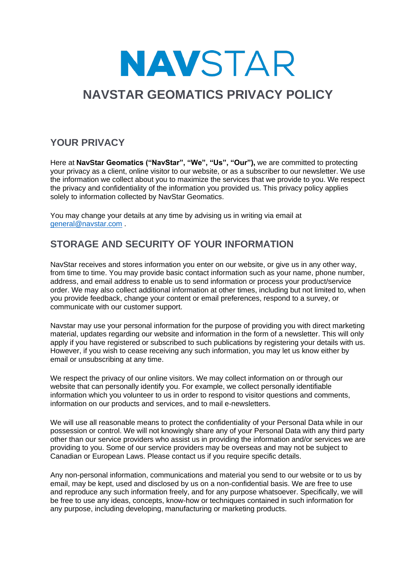# **NAVSTAR**

## **NAVSTAR GEOMATICS PRIVACY POLICY**

#### **YOUR PRIVACY**

Here at **NavStar Geomatics ("NavStar", "We", "Us", "Our"),** we are committed to protecting your privacy as a client, online visitor to our website, or as a subscriber to our newsletter. We use the information we collect about you to maximize the services that we provide to you. We respect the privacy and confidentiality of the information you provided us. This privacy policy applies solely to information collected by NavStar Geomatics.

You may change your details at any time by advising us in writing via email at [general@navstar.com](mailto:general@navstar.com) .

### **STORAGE AND SECURITY OF YOUR INFORMATION**

NavStar receives and stores information you enter on our website, or give us in any other way, from time to time. You may provide basic contact information such as your name, phone number, address, and email address to enable us to send information or process your product/service order. We may also collect additional information at other times, including but not limited to, when you provide feedback, change your content or email preferences, respond to a survey, or communicate with our customer support.

Navstar may use your personal information for the purpose of providing you with direct marketing material, updates regarding our website and information in the form of a newsletter. This will only apply if you have registered or subscribed to such publications by registering your details with us. However, if you wish to cease receiving any such information, you may let us know either by email or unsubscribing at any time.

We respect the privacy of our online visitors. We may collect information on or through our website that can personally identify you. For example, we collect personally identifiable information which you volunteer to us in order to respond to visitor questions and comments, information on our products and services, and to mail e-newsletters.

We will use all reasonable means to protect the confidentiality of your Personal Data while in our possession or control. We will not knowingly share any of your Personal Data with any third party other than our service providers who assist us in providing the information and/or services we are providing to you. Some of our service providers may be overseas and may not be subject to Canadian or European Laws. Please contact us if you require specific details.

Any non-personal information, communications and material you send to our website or to us by email, may be kept, used and disclosed by us on a non-confidential basis. We are free to use and reproduce any such information freely, and for any purpose whatsoever. Specifically, we will be free to use any ideas, concepts, know-how or techniques contained in such information for any purpose, including developing, manufacturing or marketing products.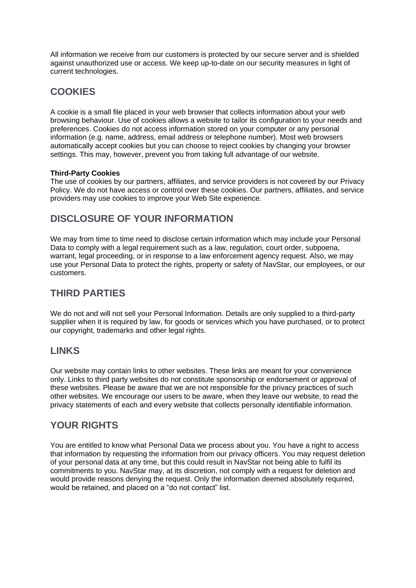All information we receive from our customers is protected by our secure server and is shielded against unauthorized use or access. We keep up-to-date on our security measures in light of current technologies.

#### **COOKIES**

A cookie is a small file placed in your web browser that collects information about your web browsing behaviour. Use of cookies allows a website to tailor its configuration to your needs and preferences. Cookies do not access information stored on your computer or any personal information (e.g. name, address, email address or telephone number). Most web browsers automatically accept cookies but you can choose to reject cookies by changing your browser settings. This may, however, prevent you from taking full advantage of our website.

#### **Third-Party Cookies**

The use of cookies by our partners, affiliates, and service providers is not covered by our Privacy Policy. We do not have access or control over these cookies. Our partners, affiliates, and service providers may use cookies to improve your Web Site experience.

#### **DISCLOSURE OF YOUR INFORMATION**

We may from time to time need to disclose certain information which may include your Personal Data to comply with a legal requirement such as a law, regulation, court order, subpoena, warrant, legal proceeding, or in response to a law enforcement agency request. Also, we may use your Personal Data to protect the rights, property or safety of NavStar, our employees, or our customers.

#### **THIRD PARTIES**

We do not and will not sell your Personal Information. Details are only supplied to a third-party supplier when it is required by law, for goods or services which you have purchased, or to protect our copyright, trademarks and other legal rights.

#### **LINKS**

Our website may contain links to other websites. These links are meant for your convenience only. Links to third party websites do not constitute sponsorship or endorsement or approval of these websites. Please be aware that we are not responsible for the privacy practices of such other websites. We encourage our users to be aware, when they leave our website, to read the privacy statements of each and every website that collects personally identifiable information.

#### **YOUR RIGHTS**

You are entitled to know what Personal Data we process about you. You have a right to access that information by requesting the information from our privacy officers. You may request deletion of your personal data at any time, but this could result in NavStar not being able to fulfil its commitments to you. NavStar may, at its discretion, not comply with a request for deletion and would provide reasons denying the request. Only the information deemed absolutely required, would be retained, and placed on a "do not contact" list.